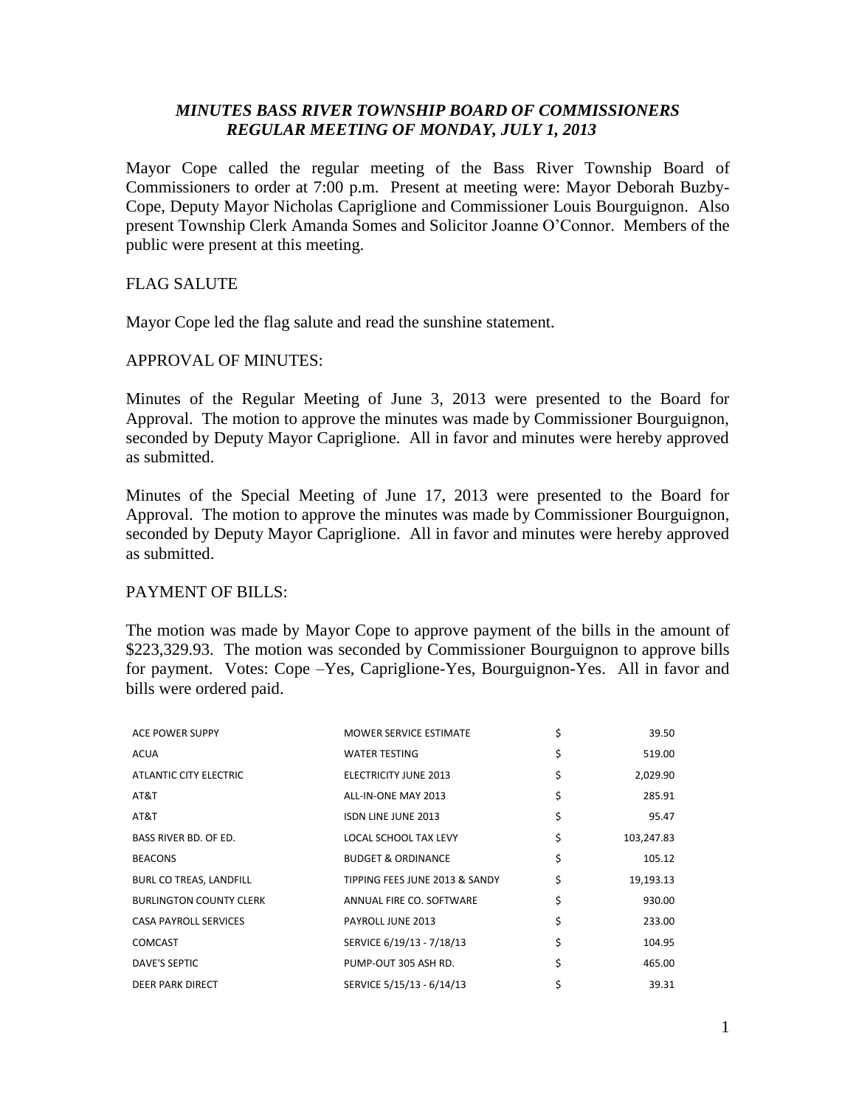# *MINUTES BASS RIVER TOWNSHIP BOARD OF COMMISSIONERS REGULAR MEETING OF MONDAY, JULY 1, 2013*

Mayor Cope called the regular meeting of the Bass River Township Board of Commissioners to order at 7:00 p.m. Present at meeting were: Mayor Deborah Buzby-Cope, Deputy Mayor Nicholas Capriglione and Commissioner Louis Bourguignon. Also present Township Clerk Amanda Somes and Solicitor Joanne O'Connor. Members of the public were present at this meeting.

## FLAG SALUTE

Mayor Cope led the flag salute and read the sunshine statement.

## APPROVAL OF MINUTES:

Minutes of the Regular Meeting of June 3, 2013 were presented to the Board for Approval. The motion to approve the minutes was made by Commissioner Bourguignon, seconded by Deputy Mayor Capriglione. All in favor and minutes were hereby approved as submitted.

Minutes of the Special Meeting of June 17, 2013 were presented to the Board for Approval. The motion to approve the minutes was made by Commissioner Bourguignon, seconded by Deputy Mayor Capriglione. All in favor and minutes were hereby approved as submitted.

## PAYMENT OF BILLS:

The motion was made by Mayor Cope to approve payment of the bills in the amount of \$223,329.93. The motion was seconded by Commissioner Bourguignon to approve bills for payment. Votes: Cope –Yes, Capriglione-Yes, Bourguignon-Yes. All in favor and bills were ordered paid.

| <b>ACE POWER SUPPY</b>         | MOWER SERVICE ESTIMATE         | \$<br>39.50      |
|--------------------------------|--------------------------------|------------------|
| <b>ACUA</b>                    | <b>WATER TESTING</b>           | \$<br>519.00     |
| ATLANTIC CITY ELECTRIC         | <b>ELECTRICITY JUNE 2013</b>   | \$<br>2,029.90   |
| AT&T                           | ALL-IN-ONE MAY 2013            | \$<br>285.91     |
| AT&T                           | <b>ISDN LINE JUNE 2013</b>     | \$<br>95.47      |
| BASS RIVER BD, OF ED.          | <b>LOCAL SCHOOL TAX LEVY</b>   | \$<br>103,247.83 |
| <b>BEACONS</b>                 | <b>BUDGET &amp; ORDINANCE</b>  | \$<br>105.12     |
| BURL CO TREAS, LANDFILL        | TIPPING FEES JUNE 2013 & SANDY | \$<br>19,193.13  |
| <b>BURLINGTON COUNTY CLERK</b> | ANNUAL FIRE CO. SOFTWARE       | \$<br>930.00     |
| <b>CASA PAYROLL SERVICES</b>   | PAYROLL JUNE 2013              | \$<br>233.00     |
| <b>COMCAST</b>                 | SERVICE 6/19/13 - 7/18/13      | \$<br>104.95     |
| <b>DAVE'S SEPTIC</b>           | PUMP-OUT 305 ASH RD.           | \$<br>465.00     |
| DEER PARK DIRECT               | SERVICE 5/15/13 - 6/14/13      | \$<br>39.31      |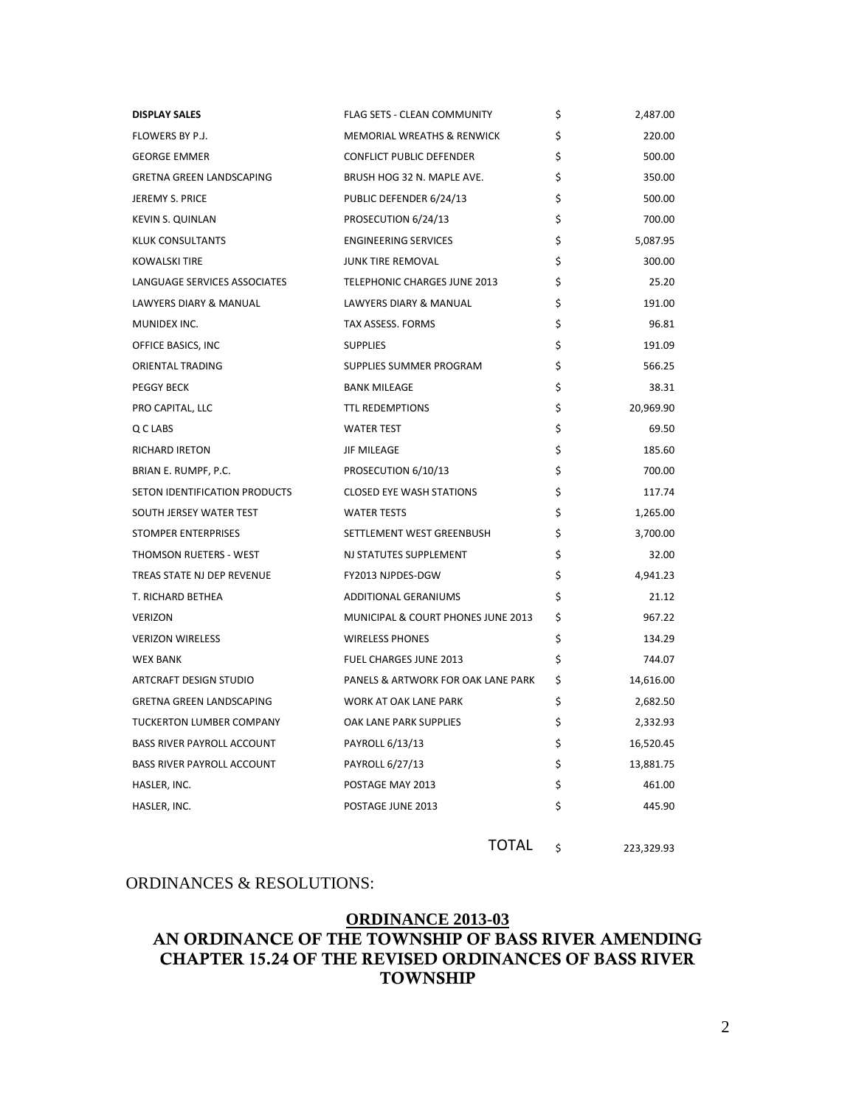| <b>DISPLAY SALES</b>              | <b>FLAG SETS - CLEAN COMMUNITY</b>    | \$ | 2,487.00  |
|-----------------------------------|---------------------------------------|----|-----------|
| FLOWERS BY P.J.                   | <b>MEMORIAL WREATHS &amp; RENWICK</b> | Ś  | 220.00    |
| <b>GEORGE EMMER</b>               | CONFLICT PUBLIC DEFENDER              | \$ | 500.00    |
| <b>GRETNA GREEN LANDSCAPING</b>   | BRUSH HOG 32 N. MAPLE AVE.            | \$ | 350.00    |
| <b>JEREMY S. PRICE</b>            | PUBLIC DEFENDER 6/24/13               | \$ | 500.00    |
| <b>KEVIN S. QUINLAN</b>           | PROSECUTION 6/24/13                   | Ś  | 700.00    |
| KLUK CONSULTANTS                  | <b>ENGINEERING SERVICES</b>           | Ś  | 5,087.95  |
| <b>KOWALSKI TIRE</b>              | <b>JUNK TIRE REMOVAL</b>              | \$ | 300.00    |
| LANGUAGE SERVICES ASSOCIATES      | TELEPHONIC CHARGES JUNE 2013          | \$ | 25.20     |
| LAWYERS DIARY & MANUAL            | LAWYERS DIARY & MANUAL                | \$ | 191.00    |
| MUNIDEX INC.                      | TAX ASSESS. FORMS                     | \$ | 96.81     |
| OFFICE BASICS, INC                | <b>SUPPLIES</b>                       | \$ | 191.09    |
| ORIENTAL TRADING                  | SUPPLIES SUMMER PROGRAM               | \$ | 566.25    |
| <b>PEGGY BECK</b>                 | <b>BANK MILEAGE</b>                   | \$ | 38.31     |
| PRO CAPITAL, LLC                  | <b>TTL REDEMPTIONS</b>                | \$ | 20,969.90 |
| Q C LABS                          | <b>WATER TEST</b>                     | \$ | 69.50     |
| RICHARD IRETON                    | <b>JIF MILEAGE</b>                    | \$ | 185.60    |
| BRIAN E. RUMPF, P.C.              | PROSECUTION 6/10/13                   | Ś  | 700.00    |
| SETON IDENTIFICATION PRODUCTS     | <b>CLOSED EYE WASH STATIONS</b>       | \$ | 117.74    |
| SOUTH JERSEY WATER TEST           | <b>WATER TESTS</b>                    | \$ | 1,265.00  |
| STOMPER ENTERPRISES               | SETTLEMENT WEST GREENBUSH             | \$ | 3,700.00  |
| THOMSON RUETERS - WEST            | NJ STATUTES SUPPLEMENT                | \$ | 32.00     |
| TREAS STATE NJ DEP REVENUE        | FY2013 NJPDES-DGW                     | \$ | 4,941.23  |
| T. RICHARD BETHEA                 | <b>ADDITIONAL GERANIUMS</b>           | \$ | 21.12     |
| <b>VERIZON</b>                    | MUNICIPAL & COURT PHONES JUNE 2013    | \$ | 967.22    |
| <b>VERIZON WIRELESS</b>           | <b>WIRELESS PHONES</b>                | \$ | 134.29    |
| <b>WEX BANK</b>                   | <b>FUEL CHARGES JUNE 2013</b>         | \$ | 744.07    |
| <b>ARTCRAFT DESIGN STUDIO</b>     | PANELS & ARTWORK FOR OAK LANE PARK    | \$ | 14,616.00 |
| <b>GRETNA GREEN LANDSCAPING</b>   | <b>WORK AT OAK LANE PARK</b>          | \$ | 2,682.50  |
| <b>TUCKERTON LUMBER COMPANY</b>   | OAK LANE PARK SUPPLIES                | \$ | 2,332.93  |
| <b>BASS RIVER PAYROLL ACCOUNT</b> | PAYROLL 6/13/13                       | \$ | 16,520.45 |
| <b>BASS RIVER PAYROLL ACCOUNT</b> | PAYROLL 6/27/13                       | \$ | 13,881.75 |
| HASLER, INC.                      | POSTAGE MAY 2013                      | \$ | 461.00    |
| HASLER, INC.                      | POSTAGE JUNE 2013                     | \$ | 445.90    |
|                                   |                                       |    |           |

### ORDINANCES & RESOLUTIONS:

# **ORDINANCE 2013-03 AN ORDINANCE OF THE TOWNSHIP OF BASS RIVER AMENDING CHAPTER 15.24 OF THE REVISED ORDINANCES OF BASS RIVER TOWNSHIP**

TOTAL \$ 223,329.93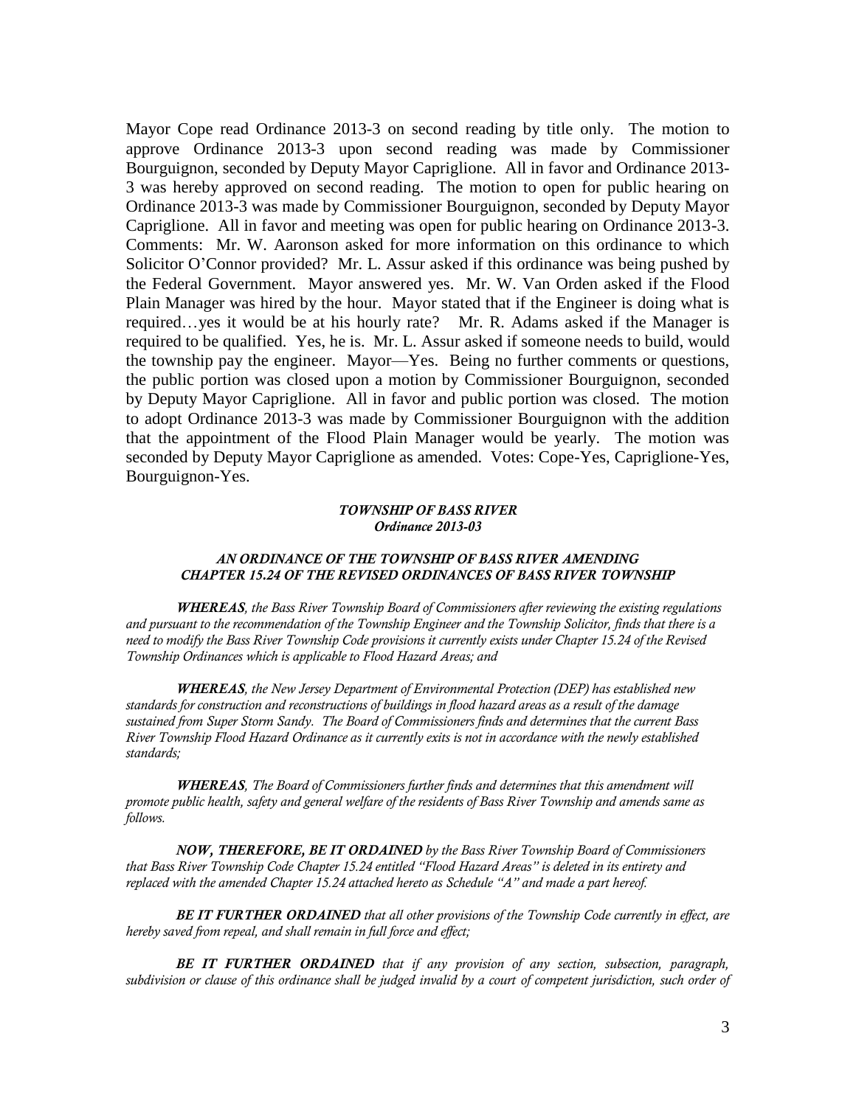Mayor Cope read Ordinance 2013-3 on second reading by title only. The motion to approve Ordinance 2013-3 upon second reading was made by Commissioner Bourguignon, seconded by Deputy Mayor Capriglione. All in favor and Ordinance 2013- 3 was hereby approved on second reading. The motion to open for public hearing on Ordinance 2013-3 was made by Commissioner Bourguignon, seconded by Deputy Mayor Capriglione. All in favor and meeting was open for public hearing on Ordinance 2013-3. Comments: Mr. W. Aaronson asked for more information on this ordinance to which Solicitor O'Connor provided? Mr. L. Assur asked if this ordinance was being pushed by the Federal Government. Mayor answered yes. Mr. W. Van Orden asked if the Flood Plain Manager was hired by the hour. Mayor stated that if the Engineer is doing what is required…yes it would be at his hourly rate? Mr. R. Adams asked if the Manager is required to be qualified. Yes, he is. Mr. L. Assur asked if someone needs to build, would the township pay the engineer. Mayor—Yes. Being no further comments or questions, the public portion was closed upon a motion by Commissioner Bourguignon, seconded by Deputy Mayor Capriglione. All in favor and public portion was closed. The motion to adopt Ordinance 2013-3 was made by Commissioner Bourguignon with the addition that the appointment of the Flood Plain Manager would be yearly. The motion was seconded by Deputy Mayor Capriglione as amended. Votes: Cope-Yes, Capriglione-Yes, Bourguignon-Yes.

#### *TOWNSHIP OF BASS RIVER Ordinance 2013-03*

### *AN ORDINANCE OF THE TOWNSHIP OF BASS RIVER AMENDING CHAPTER 15.24 OF THE REVISED ORDINANCES OF BASS RIVER TOWNSHIP*

*WHEREAS, the Bass River Township Board of Commissioners after reviewing the existing regulations and pursuant to the recommendation of the Township Engineer and the Township Solicitor, finds that there is a need to modify the Bass River Township Code provisions it currently exists under Chapter 15.24 of the Revised Township Ordinances which is applicable to Flood Hazard Areas; and*

*WHEREAS, the New Jersey Department of Environmental Protection (DEP) has established new standards for construction and reconstructions of buildings in flood hazard areas as a result of the damage sustained from Super Storm Sandy. The Board of Commissioners finds and determines that the current Bass River Township Flood Hazard Ordinance as it currently exits is not in accordance with the newly established standards;* 

*WHEREAS, The Board of Commissioners further finds and determines that this amendment will promote public health, safety and general welfare of the residents of Bass River Township and amends same as follows.*

*NOW, THEREFORE, BE IT ORDAINED by the Bass River Township Board of Commissioners that Bass River Township Code Chapter 15.24 entitled "Flood Hazard Areas" is deleted in its entirety and replaced with the amended Chapter 15.24 attached hereto as Schedule "A" and made a part hereof.* 

*BE IT FURTHER ORDAINED that all other provisions of the Township Code currently in effect, are hereby saved from repeal, and shall remain in full force and effect;* 

*BE IT FURTHER ORDAINED that if any provision of any section, subsection, paragraph, subdivision or clause of this ordinance shall be judged invalid by a court of competent jurisdiction, such order of*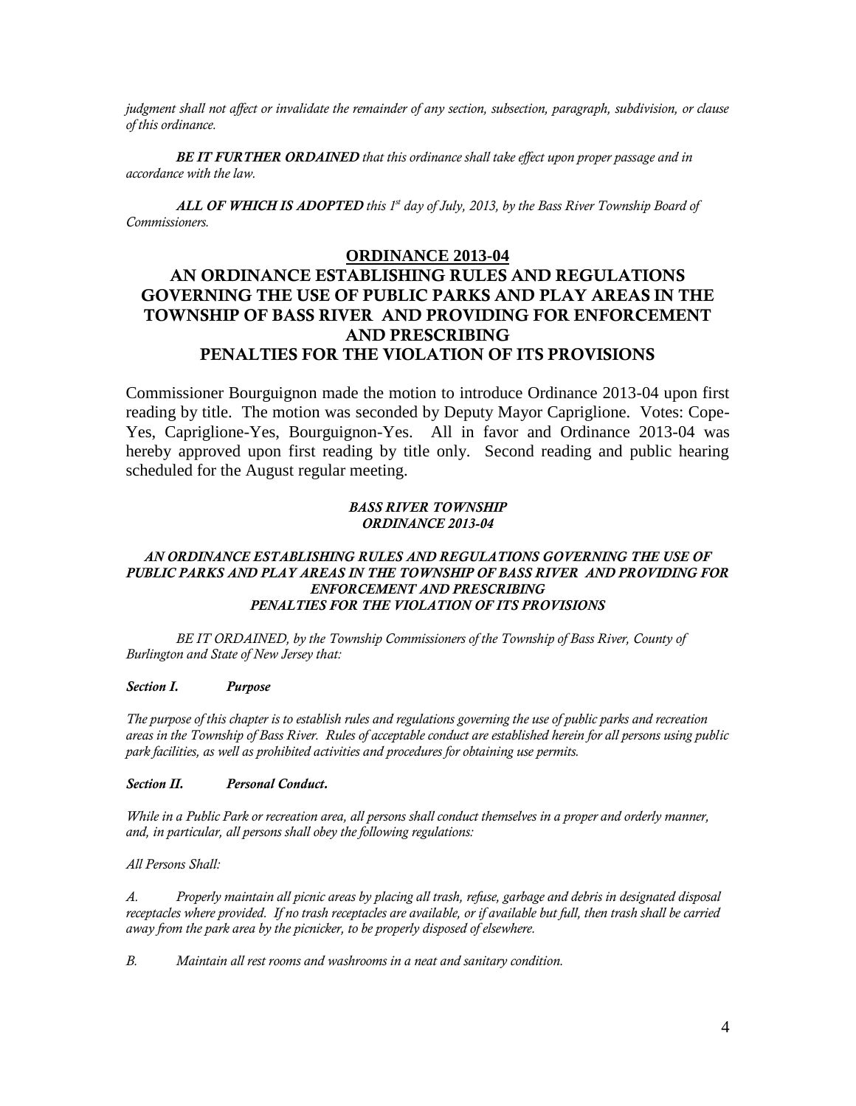*judgment shall not affect or invalidate the remainder of any section, subsection, paragraph, subdivision, or clause of this ordinance.*

*BE IT FURTHER ORDAINED that this ordinance shall take effect upon proper passage and in accordance with the law.*

*ALL OF WHICH IS ADOPTED this 1st day of July, 2013, by the Bass River Township Board of Commissioners.* 

## **ORDINANCE 2013-04**

# **AN ORDINANCE ESTABLISHING RULES AND REGULATIONS GOVERNING THE USE OF PUBLIC PARKS AND PLAY AREAS IN THE TOWNSHIP OF BASS RIVER AND PROVIDING FOR ENFORCEMENT AND PRESCRIBING PENALTIES FOR THE VIOLATION OF ITS PROVISIONS**

Commissioner Bourguignon made the motion to introduce Ordinance 2013-04 upon first reading by title. The motion was seconded by Deputy Mayor Capriglione. Votes: Cope-Yes, Capriglione-Yes, Bourguignon-Yes. All in favor and Ordinance 2013-04 was hereby approved upon first reading by title only. Second reading and public hearing scheduled for the August regular meeting.

#### *BASS RIVER TOWNSHIP ORDINANCE 2013-04*

### *AN ORDINANCE ESTABLISHING RULES AND REGULATIONS GOVERNING THE USE OF PUBLIC PARKS AND PLAY AREAS IN THE TOWNSHIP OF BASS RIVER AND PROVIDING FOR ENFORCEMENT AND PRESCRIBING PENALTIES FOR THE VIOLATION OF ITS PROVISIONS*

*BE IT ORDAINED, by the Township Commissioners of the Township of Bass River, County of Burlington and State of New Jersey that:*

#### *Section I. Purpose*

*The purpose of this chapter is to establish rules and regulations governing the use of public parks and recreation areas in the Township of Bass River. Rules of acceptable conduct are established herein for all persons using public park facilities, as well as prohibited activities and procedures for obtaining use permits.* 

#### *Section II. Personal Conduct.*

*While in a Public Park or recreation area, all persons shall conduct themselves in a proper and orderly manner, and, in particular, all persons shall obey the following regulations:*

*All Persons Shall:*

*A. Properly maintain all picnic areas by placing all trash, refuse, garbage and debris in designated disposal receptacles where provided. If no trash receptacles are available, or if available but full, then trash shall be carried away from the park area by the picnicker, to be properly disposed of elsewhere.*

*B. Maintain all rest rooms and washrooms in a neat and sanitary condition.*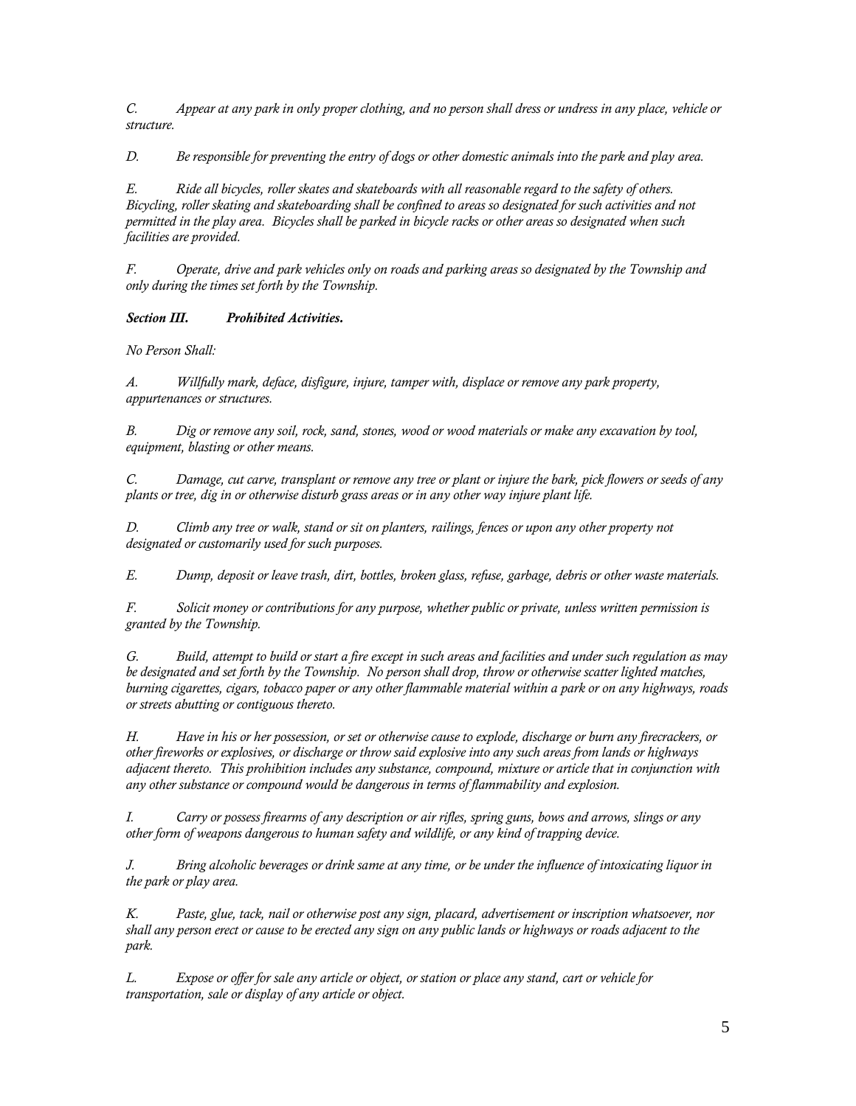*C. Appear at any park in only proper clothing, and no person shall dress or undress in any place, vehicle or structure.*

*D. Be responsible for preventing the entry of dogs or other domestic animals into the park and play area.*

*E. Ride all bicycles, roller skates and skateboards with all reasonable regard to the safety of others. Bicycling, roller skating and skateboarding shall be confined to areas so designated for such activities and not permitted in the play area. Bicycles shall be parked in bicycle racks or other areas so designated when such facilities are provided.*

*F. Operate, drive and park vehicles only on roads and parking areas so designated by the Township and only during the times set forth by the Township.* 

*Section III. Prohibited Activities.*

*No Person Shall:* 

*A. Willfully mark, deface, disfigure, injure, tamper with, displace or remove any park property, appurtenances or structures.*

*B. Dig or remove any soil, rock, sand, stones, wood or wood materials or make any excavation by tool, equipment, blasting or other means.*

*C. Damage, cut carve, transplant or remove any tree or plant or injure the bark, pick flowers or seeds of any plants or tree, dig in or otherwise disturb grass areas or in any other way injure plant life.*

*D. Climb any tree or walk, stand or sit on planters, railings, fences or upon any other property not designated or customarily used for such purposes.*

*E. Dump, deposit or leave trash, dirt, bottles, broken glass, refuse, garbage, debris or other waste materials.*

*F. Solicit money or contributions for any purpose, whether public or private, unless written permission is granted by the Township.*

*G. Build, attempt to build or start a fire except in such areas and facilities and under such regulation as may be designated and set forth by the Township. No person shall drop, throw or otherwise scatter lighted matches, burning cigarettes, cigars, tobacco paper or any other flammable material within a park or on any highways, roads or streets abutting or contiguous thereto.* 

*H. Have in his or her possession, or set or otherwise cause to explode, discharge or burn any firecrackers, or other fireworks or explosives, or discharge or throw said explosive into any such areas from lands or highways adjacent thereto. This prohibition includes any substance, compound, mixture or article that in conjunction with any other substance or compound would be dangerous in terms of flammability and explosion.* 

*I. Carry or possess firearms of any description or air rifles, spring guns, bows and arrows, slings or any other form of weapons dangerous to human safety and wildlife, or any kind of trapping device.* 

*J. Bring alcoholic beverages or drink same at any time, or be under the influence of intoxicating liquor in the park or play area.*

*K. Paste, glue, tack, nail or otherwise post any sign, placard, advertisement or inscription whatsoever, nor shall any person erect or cause to be erected any sign on any public lands or highways or roads adjacent to the park.*

*L. Expose or offer for sale any article or object, or station or place any stand, cart or vehicle for transportation, sale or display of any article or object.*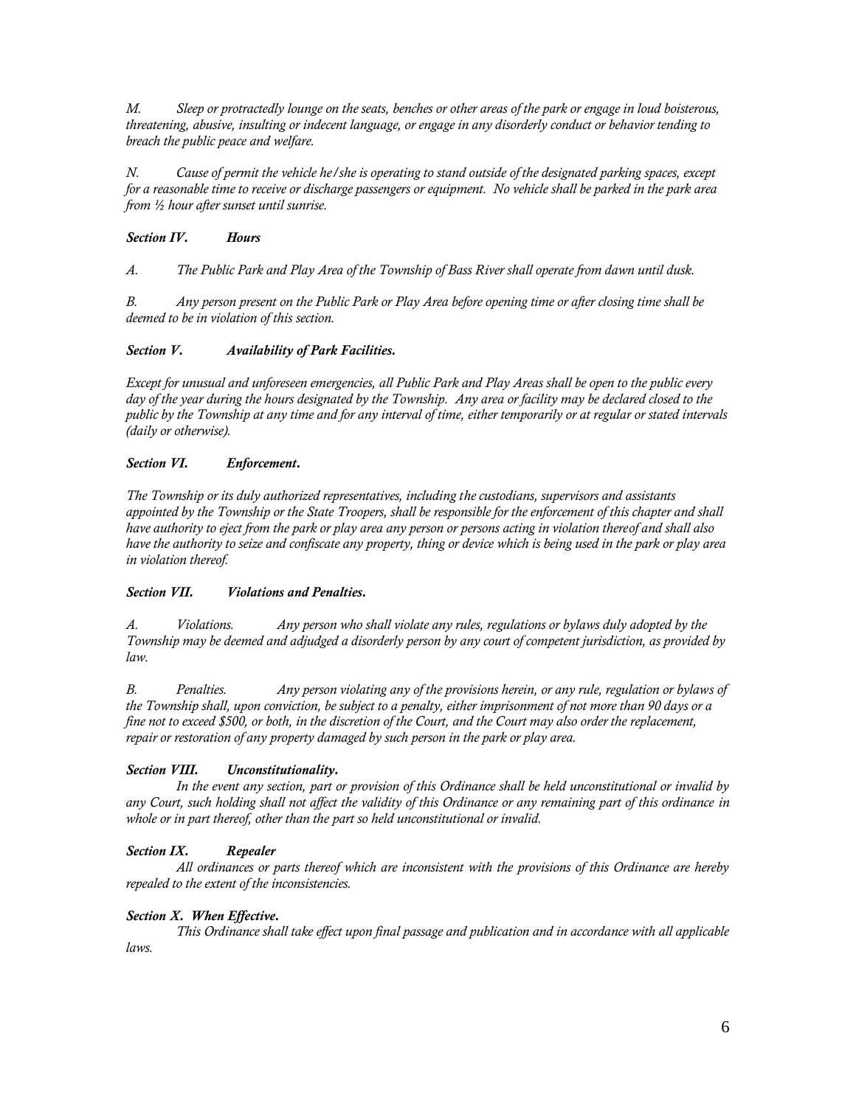*M. Sleep or protractedly lounge on the seats, benches or other areas of the park or engage in loud boisterous, threatening, abusive, insulting or indecent language, or engage in any disorderly conduct or behavior tending to breach the public peace and welfare.*

*N. Cause of permit the vehicle he/she is operating to stand outside of the designated parking spaces, except for a reasonable time to receive or discharge passengers or equipment. No vehicle shall be parked in the park area from ½ hour after sunset until sunrise.* 

### *Section IV. Hours*

*A. The Public Park and Play Area of the Township of Bass River shall operate from dawn until dusk.*

*B. Any person present on the Public Park or Play Area before opening time or after closing time shall be deemed to be in violation of this section.*

### *Section V. Availability of Park Facilities.*

*Except for unusual and unforeseen emergencies, all Public Park and Play Areas shall be open to the public every day of the year during the hours designated by the Township. Any area or facility may be declared closed to the public by the Township at any time and for any interval of time, either temporarily or at regular or stated intervals (daily or otherwise).*

### *Section VI. Enforcement.*

*The Township or its duly authorized representatives, including the custodians, supervisors and assistants appointed by the Township or the State Troopers, shall be responsible for the enforcement of this chapter and shall have authority to eject from the park or play area any person or persons acting in violation thereof and shall also have the authority to seize and confiscate any property, thing or device which is being used in the park or play area in violation thereof.*

### *Section VII. Violations and Penalties.*

*A. Violations. Any person who shall violate any rules, regulations or bylaws duly adopted by the Township may be deemed and adjudged a disorderly person by any court of competent jurisdiction, as provided by law.* 

*B. Penalties. Any person violating any of the provisions herein, or any rule, regulation or bylaws of the Township shall, upon conviction, be subject to a penalty, either imprisonment of not more than 90 days or a fine not to exceed \$500, or both, in the discretion of the Court, and the Court may also order the replacement, repair or restoration of any property damaged by such person in the park or play area.* 

## *Section VIII. Unconstitutionality.*

*In the event any section, part or provision of this Ordinance shall be held unconstitutional or invalid by any Court, such holding shall not affect the validity of this Ordinance or any remaining part of this ordinance in whole or in part thereof, other than the part so held unconstitutional or invalid.* 

## *Section IX. Repealer*

*All ordinances or parts thereof which are inconsistent with the provisions of this Ordinance are hereby repealed to the extent of the inconsistencies.* 

### *Section X. When Effective.*

*This Ordinance shall take effect upon final passage and publication and in accordance with all applicable laws.*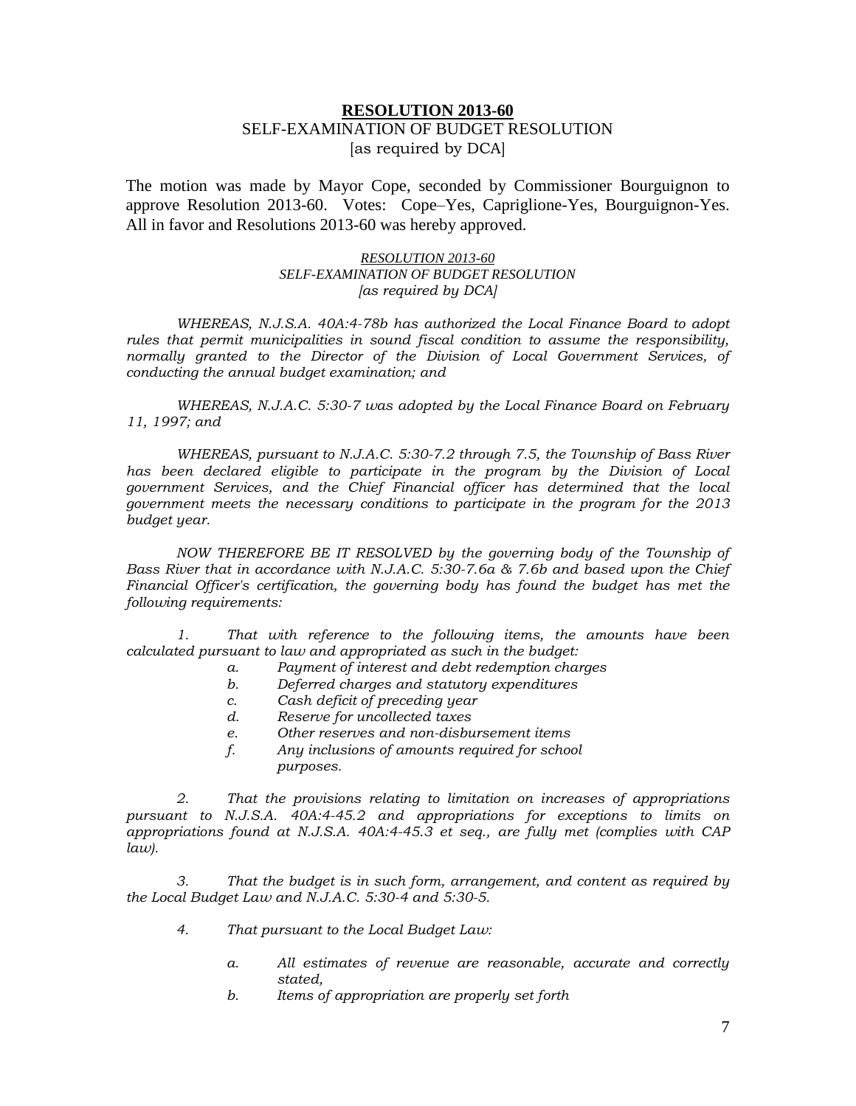## **RESOLUTION 2013-60** SELF-EXAMINATION OF BUDGET RESOLUTION [as required by DCA]

The motion was made by Mayor Cope, seconded by Commissioner Bourguignon to approve Resolution 2013-60. Votes: Cope–Yes, Capriglione-Yes, Bourguignon-Yes. All in favor and Resolutions 2013-60 was hereby approved.

### *RESOLUTION 2013-60 SELF-EXAMINATION OF BUDGET RESOLUTION [as required by DCA]*

*WHEREAS, N.J.S.A. 40A:4-78b has authorized the Local Finance Board to adopt rules that permit municipalities in sound fiscal condition to assume the responsibility, normally granted to the Director of the Division of Local Government Services, of conducting the annual budget examination; and*

*WHEREAS, N.J.A.C. 5:30-7 was adopted by the Local Finance Board on February 11, 1997; and*

*WHEREAS, pursuant to N.J.A.C. 5:30-7.2 through 7.5, the Township of Bass River*  has been declared eligible to participate in the program by the Division of Local *government Services, and the Chief Financial officer has determined that the local government meets the necessary conditions to participate in the program for the 2013 budget year.*

*NOW THEREFORE BE IT RESOLVED by the governing body of the Township of Bass River that in accordance with N.J.A.C. 5:30-7.6a & 7.6b and based upon the Chief Financial Officer's certification, the governing body has found the budget has met the following requirements:*

*1. That with reference to the following items, the amounts have been calculated pursuant to law and appropriated as such in the budget:*

- *a. Payment of interest and debt redemption charges*
- *b. Deferred charges and statutory expenditures*
- *c. Cash deficit of preceding year*
- *d. Reserve for uncollected taxes*
- *e. Other reserves and non-disbursement items*
- *f. Any inclusions of amounts required for school purposes.*

*2. That the provisions relating to limitation on increases of appropriations pursuant to N.J.S.A. 40A:4-45.2 and appropriations for exceptions to limits on appropriations found at N.J.S.A. 40A:4-45.3 et seq., are fully met (complies with CAP law).*

*3. That the budget is in such form, arrangement, and content as required by the Local Budget Law and N.J.A.C. 5:30-4 and 5:30-5.*

- *4. That pursuant to the Local Budget Law:*
	- *a. All estimates of revenue are reasonable, accurate and correctly stated,*
	- *b. Items of appropriation are properly set forth*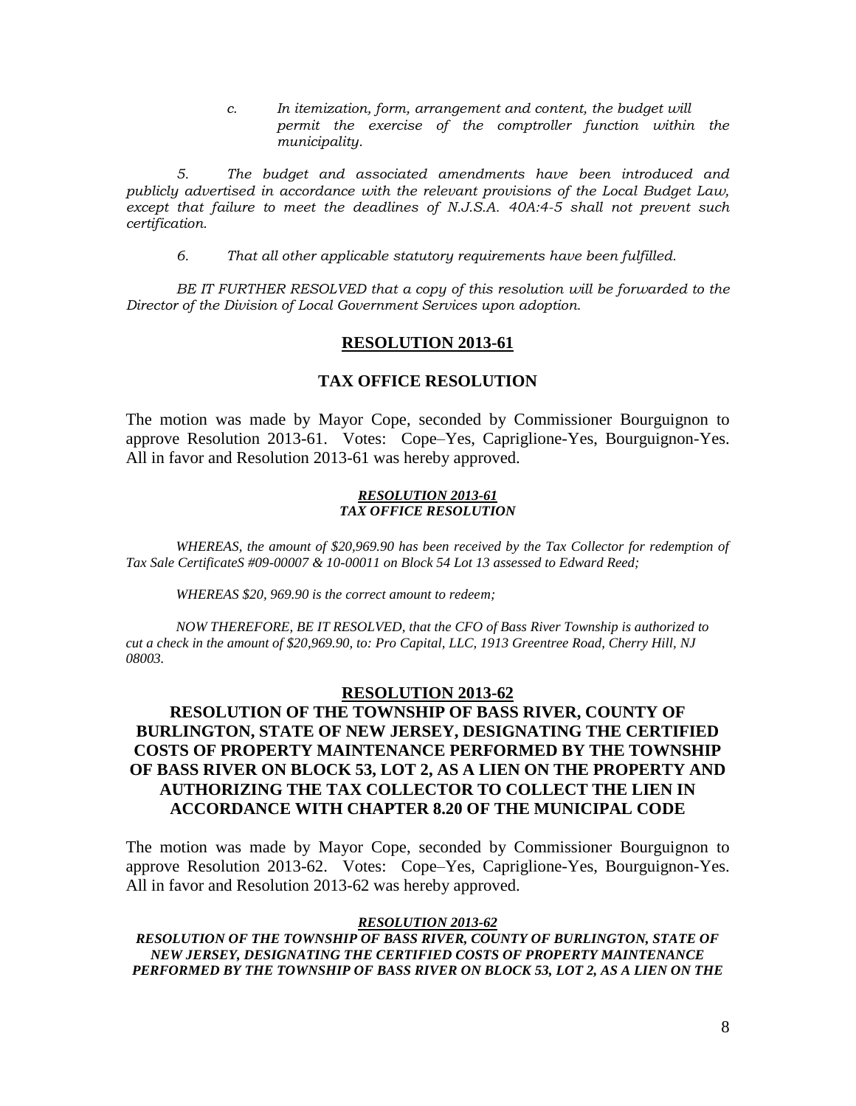*c. In itemization, form, arrangement and content, the budget will permit the exercise of the comptroller function within the municipality.*

*5. The budget and associated amendments have been introduced and publicly advertised in accordance with the relevant provisions of the Local Budget Law, except that failure to meet the deadlines of N.J.S.A. 40A:4-5 shall not prevent such certification.*

*6. That all other applicable statutory requirements have been fulfilled.*

*BE IT FURTHER RESOLVED that a copy of this resolution will be forwarded to the Director of the Division of Local Government Services upon adoption.*

### **RESOLUTION 2013-61**

### **TAX OFFICE RESOLUTION**

The motion was made by Mayor Cope, seconded by Commissioner Bourguignon to approve Resolution 2013-61. Votes: Cope–Yes, Capriglione-Yes, Bourguignon-Yes. All in favor and Resolution 2013-61 was hereby approved.

#### *RESOLUTION 2013-61 TAX OFFICE RESOLUTION*

*WHEREAS, the amount of \$20,969.90 has been received by the Tax Collector for redemption of Tax Sale CertificateS #09-00007 & 10-00011 on Block 54 Lot 13 assessed to Edward Reed;*

*WHEREAS \$20, 969.90 is the correct amount to redeem;*

*NOW THEREFORE, BE IT RESOLVED, that the CFO of Bass River Township is authorized to cut a check in the amount of \$20,969.90, to: Pro Capital, LLC, 1913 Greentree Road, Cherry Hill, NJ 08003.*

### **RESOLUTION 2013-62**

## **RESOLUTION OF THE TOWNSHIP OF BASS RIVER, COUNTY OF BURLINGTON, STATE OF NEW JERSEY, DESIGNATING THE CERTIFIED COSTS OF PROPERTY MAINTENANCE PERFORMED BY THE TOWNSHIP OF BASS RIVER ON BLOCK 53, LOT 2, AS A LIEN ON THE PROPERTY AND AUTHORIZING THE TAX COLLECTOR TO COLLECT THE LIEN IN ACCORDANCE WITH CHAPTER 8.20 OF THE MUNICIPAL CODE**

The motion was made by Mayor Cope, seconded by Commissioner Bourguignon to approve Resolution 2013-62. Votes: Cope–Yes, Capriglione-Yes, Bourguignon-Yes. All in favor and Resolution 2013-62 was hereby approved.

### *RESOLUTION 2013-62*

*RESOLUTION OF THE TOWNSHIP OF BASS RIVER, COUNTY OF BURLINGTON, STATE OF NEW JERSEY, DESIGNATING THE CERTIFIED COSTS OF PROPERTY MAINTENANCE PERFORMED BY THE TOWNSHIP OF BASS RIVER ON BLOCK 53, LOT 2, AS A LIEN ON THE*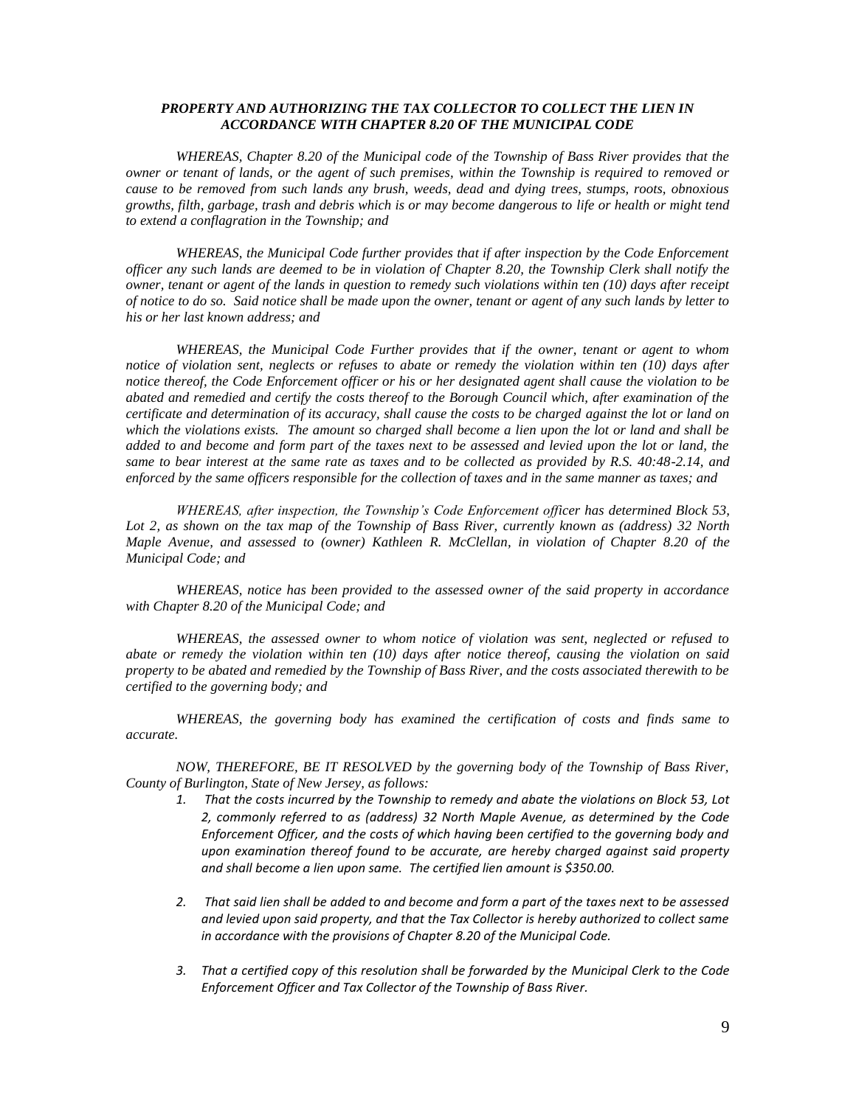### *PROPERTY AND AUTHORIZING THE TAX COLLECTOR TO COLLECT THE LIEN IN ACCORDANCE WITH CHAPTER 8.20 OF THE MUNICIPAL CODE*

*WHEREAS, Chapter 8.20 of the Municipal code of the Township of Bass River provides that the owner or tenant of lands, or the agent of such premises, within the Township is required to removed or cause to be removed from such lands any brush, weeds, dead and dying trees, stumps, roots, obnoxious growths, filth, garbage, trash and debris which is or may become dangerous to life or health or might tend to extend a conflagration in the Township; and*

*WHEREAS, the Municipal Code further provides that if after inspection by the Code Enforcement officer any such lands are deemed to be in violation of Chapter 8.20, the Township Clerk shall notify the owner, tenant or agent of the lands in question to remedy such violations within ten (10) days after receipt of notice to do so. Said notice shall be made upon the owner, tenant or agent of any such lands by letter to his or her last known address; and*

*WHEREAS, the Municipal Code Further provides that if the owner, tenant or agent to whom notice of violation sent, neglects or refuses to abate or remedy the violation within ten (10) days after notice thereof, the Code Enforcement officer or his or her designated agent shall cause the violation to be abated and remedied and certify the costs thereof to the Borough Council which, after examination of the certificate and determination of its accuracy, shall cause the costs to be charged against the lot or land on which the violations exists. The amount so charged shall become a lien upon the lot or land and shall be added to and become and form part of the taxes next to be assessed and levied upon the lot or land, the same to bear interest at the same rate as taxes and to be collected as provided by R.S. 40:48-2.14, and enforced by the same officers responsible for the collection of taxes and in the same manner as taxes; and*

*WHEREAS, after inspection, the Township's Code Enforcement officer has determined Block 53, Lot 2, as shown on the tax map of the Township of Bass River, currently known as (address) 32 North Maple Avenue, and assessed to (owner) Kathleen R. McClellan, in violation of Chapter 8.20 of the Municipal Code; and*

*WHEREAS, notice has been provided to the assessed owner of the said property in accordance with Chapter 8.20 of the Municipal Code; and*

*WHEREAS, the assessed owner to whom notice of violation was sent, neglected or refused to abate or remedy the violation within ten (10) days after notice thereof, causing the violation on said property to be abated and remedied by the Township of Bass River, and the costs associated therewith to be certified to the governing body; and*

*WHEREAS, the governing body has examined the certification of costs and finds same to accurate.*

*NOW, THEREFORE, BE IT RESOLVED by the governing body of the Township of Bass River, County of Burlington, State of New Jersey, as follows:*

- *1. That the costs incurred by the Township to remedy and abate the violations on Block 53, Lot 2, commonly referred to as (address) 32 North Maple Avenue, as determined by the Code Enforcement Officer, and the costs of which having been certified to the governing body and upon examination thereof found to be accurate, are hereby charged against said property and shall become a lien upon same. The certified lien amount is \$350.00.*
- *2. That said lien shall be added to and become and form a part of the taxes next to be assessed and levied upon said property, and that the Tax Collector is hereby authorized to collect same in accordance with the provisions of Chapter 8.20 of the Municipal Code.*
- *3. That a certified copy of this resolution shall be forwarded by the Municipal Clerk to the Code Enforcement Officer and Tax Collector of the Township of Bass River.*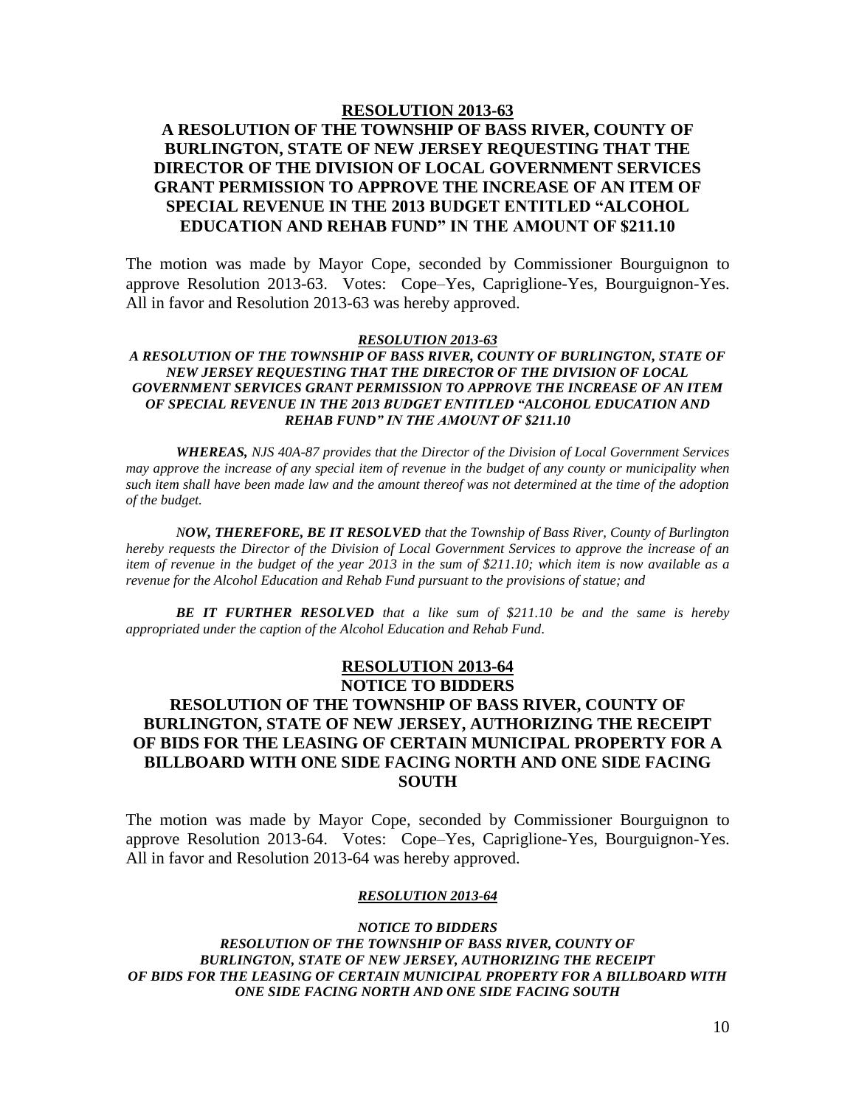#### **RESOLUTION 2013-63**

# **A RESOLUTION OF THE TOWNSHIP OF BASS RIVER, COUNTY OF BURLINGTON, STATE OF NEW JERSEY REQUESTING THAT THE DIRECTOR OF THE DIVISION OF LOCAL GOVERNMENT SERVICES GRANT PERMISSION TO APPROVE THE INCREASE OF AN ITEM OF SPECIAL REVENUE IN THE 2013 BUDGET ENTITLED "ALCOHOL EDUCATION AND REHAB FUND" IN THE AMOUNT OF \$211.10**

The motion was made by Mayor Cope, seconded by Commissioner Bourguignon to approve Resolution 2013-63. Votes: Cope–Yes, Capriglione-Yes, Bourguignon-Yes. All in favor and Resolution 2013-63 was hereby approved.

#### *RESOLUTION 2013-63*

### *A RESOLUTION OF THE TOWNSHIP OF BASS RIVER, COUNTY OF BURLINGTON, STATE OF NEW JERSEY REQUESTING THAT THE DIRECTOR OF THE DIVISION OF LOCAL GOVERNMENT SERVICES GRANT PERMISSION TO APPROVE THE INCREASE OF AN ITEM OF SPECIAL REVENUE IN THE 2013 BUDGET ENTITLED "ALCOHOL EDUCATION AND REHAB FUND" IN THE AMOUNT OF \$211.10*

*WHEREAS, NJS 40A-87 provides that the Director of the Division of Local Government Services may approve the increase of any special item of revenue in the budget of any county or municipality when such item shall have been made law and the amount thereof was not determined at the time of the adoption of the budget.*

*NOW, THEREFORE, BE IT RESOLVED that the Township of Bass River, County of Burlington hereby requests the Director of the Division of Local Government Services to approve the increase of an item of revenue in the budget of the year 2013 in the sum of \$211.10; which item is now available as a revenue for the Alcohol Education and Rehab Fund pursuant to the provisions of statue; and*

*BE IT FURTHER RESOLVED that a like sum of \$211.10 be and the same is hereby appropriated under the caption of the Alcohol Education and Rehab Fund.*

# **RESOLUTION 2013-64**

# **NOTICE TO BIDDERS RESOLUTION OF THE TOWNSHIP OF BASS RIVER, COUNTY OF BURLINGTON, STATE OF NEW JERSEY, AUTHORIZING THE RECEIPT OF BIDS FOR THE LEASING OF CERTAIN MUNICIPAL PROPERTY FOR A BILLBOARD WITH ONE SIDE FACING NORTH AND ONE SIDE FACING SOUTH**

The motion was made by Mayor Cope, seconded by Commissioner Bourguignon to approve Resolution 2013-64. Votes: Cope–Yes, Capriglione-Yes, Bourguignon-Yes. All in favor and Resolution 2013-64 was hereby approved.

#### *RESOLUTION 2013-64*

*NOTICE TO BIDDERS RESOLUTION OF THE TOWNSHIP OF BASS RIVER, COUNTY OF BURLINGTON, STATE OF NEW JERSEY, AUTHORIZING THE RECEIPT OF BIDS FOR THE LEASING OF CERTAIN MUNICIPAL PROPERTY FOR A BILLBOARD WITH ONE SIDE FACING NORTH AND ONE SIDE FACING SOUTH*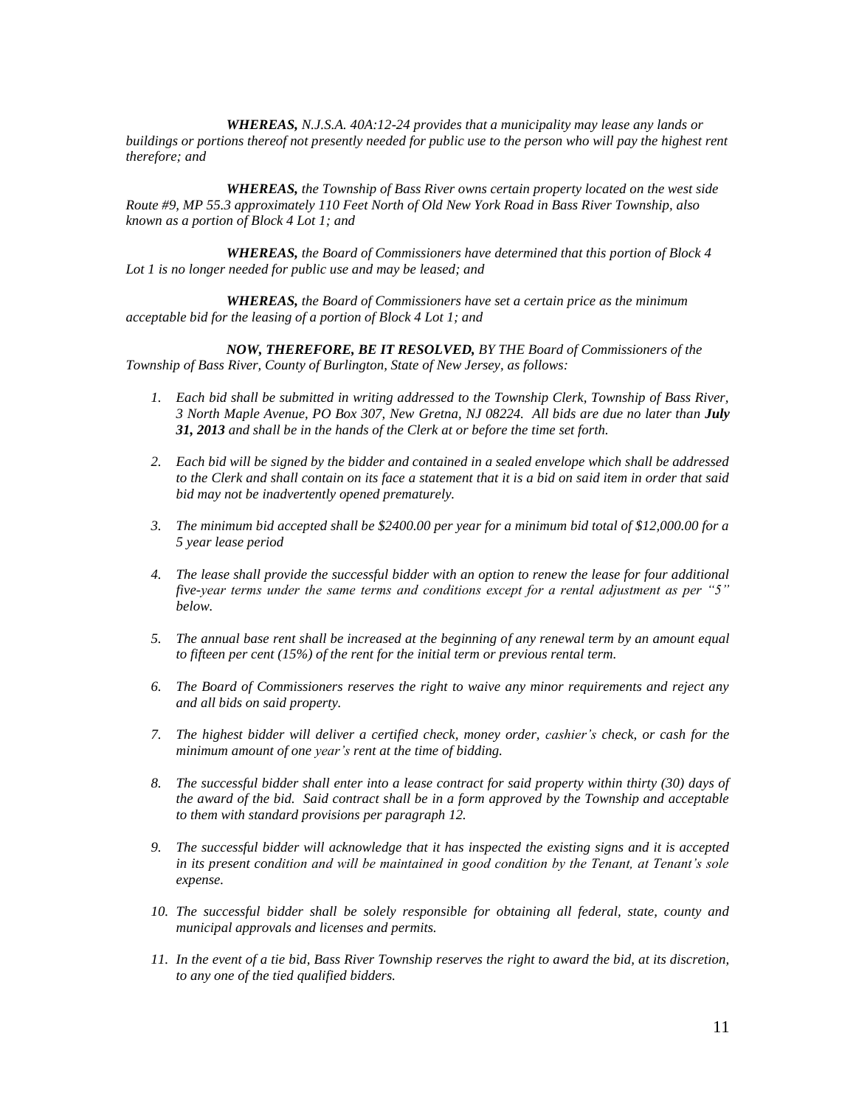*WHEREAS, N.J.S.A. 40A:12-24 provides that a municipality may lease any lands or buildings or portions thereof not presently needed for public use to the person who will pay the highest rent therefore; and*

*WHEREAS, the Township of Bass River owns certain property located on the west side Route #9, MP 55.3 approximately 110 Feet North of Old New York Road in Bass River Township, also known as a portion of Block 4 Lot 1; and*

*WHEREAS, the Board of Commissioners have determined that this portion of Block 4 Lot 1 is no longer needed for public use and may be leased; and*

*WHEREAS, the Board of Commissioners have set a certain price as the minimum acceptable bid for the leasing of a portion of Block 4 Lot 1; and*

*NOW, THEREFORE, BE IT RESOLVED, BY THE Board of Commissioners of the Township of Bass River, County of Burlington, State of New Jersey, as follows:*

- *1. Each bid shall be submitted in writing addressed to the Township Clerk, Township of Bass River, 3 North Maple Avenue, PO Box 307, New Gretna, NJ 08224. All bids are due no later than July 31, 2013 and shall be in the hands of the Clerk at or before the time set forth.*
- *2. Each bid will be signed by the bidder and contained in a sealed envelope which shall be addressed to the Clerk and shall contain on its face a statement that it is a bid on said item in order that said bid may not be inadvertently opened prematurely.*
- *3. The minimum bid accepted shall be \$2400.00 per year for a minimum bid total of \$12,000.00 for a 5 year lease period*
- *4. The lease shall provide the successful bidder with an option to renew the lease for four additional five-year terms under the same terms and conditions except for a rental adjustment as per "5" below.*
- *5. The annual base rent shall be increased at the beginning of any renewal term by an amount equal to fifteen per cent (15%) of the rent for the initial term or previous rental term.*
- *6. The Board of Commissioners reserves the right to waive any minor requirements and reject any and all bids on said property.*
- *7. The highest bidder will deliver a certified check, money order, cashier's check, or cash for the minimum amount of one year's rent at the time of bidding.*
- *8. The successful bidder shall enter into a lease contract for said property within thirty (30) days of the award of the bid. Said contract shall be in a form approved by the Township and acceptable to them with standard provisions per paragraph 12.*
- *9. The successful bidder will acknowledge that it has inspected the existing signs and it is accepted in its present condition and will be maintained in good condition by the Tenant, at Tenant's sole expense.*
- *10. The successful bidder shall be solely responsible for obtaining all federal, state, county and municipal approvals and licenses and permits.*
- *11. In the event of a tie bid, Bass River Township reserves the right to award the bid, at its discretion, to any one of the tied qualified bidders.*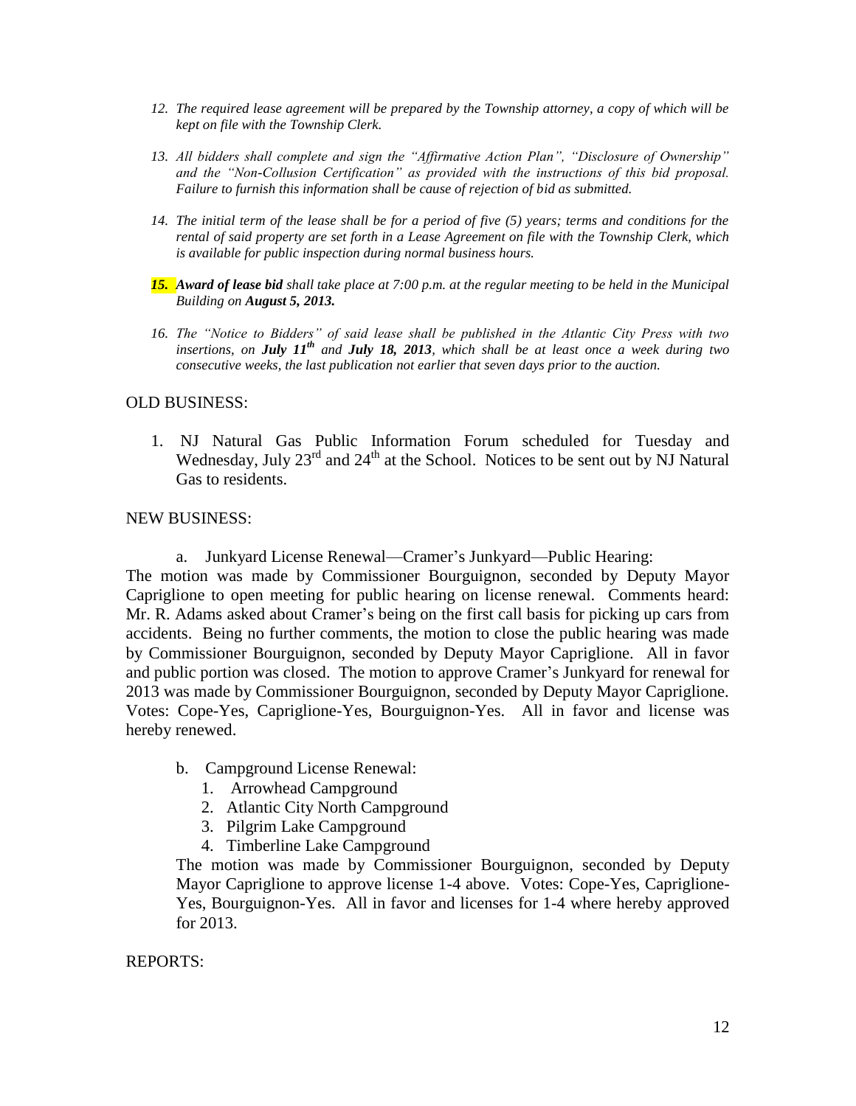- *12. The required lease agreement will be prepared by the Township attorney, a copy of which will be kept on file with the Township Clerk.*
- *13. All bidders shall complete and sign the "Affirmative Action Plan", "Disclosure of Ownership" and the "Non-Collusion Certification" as provided with the instructions of this bid proposal. Failure to furnish this information shall be cause of rejection of bid as submitted.*
- *14. The initial term of the lease shall be for a period of five (5) years; terms and conditions for the rental of said property are set forth in a Lease Agreement on file with the Township Clerk, which is available for public inspection during normal business hours.*
- *15. Award of lease bid shall take place at 7:00 p.m. at the regular meeting to be held in the Municipal Building on August 5, 2013.*
- *16. The "Notice to Bidders" of said lease shall be published in the Atlantic City Press with two insertions, on July 11th and July 18, 2013, which shall be at least once a week during two consecutive weeks, the last publication not earlier that seven days prior to the auction.*

## OLD BUSINESS:

1. NJ Natural Gas Public Information Forum scheduled for Tuesday and Wednesday, July 23<sup>rd</sup> and 24<sup>th</sup> at the School. Notices to be sent out by NJ Natural Gas to residents.

### NEW BUSINESS:

a. Junkyard License Renewal—Cramer's Junkyard—Public Hearing:

The motion was made by Commissioner Bourguignon, seconded by Deputy Mayor Capriglione to open meeting for public hearing on license renewal. Comments heard: Mr. R. Adams asked about Cramer's being on the first call basis for picking up cars from accidents. Being no further comments, the motion to close the public hearing was made by Commissioner Bourguignon, seconded by Deputy Mayor Capriglione. All in favor and public portion was closed. The motion to approve Cramer's Junkyard for renewal for 2013 was made by Commissioner Bourguignon, seconded by Deputy Mayor Capriglione. Votes: Cope-Yes, Capriglione-Yes, Bourguignon-Yes. All in favor and license was hereby renewed.

- b. Campground License Renewal:
	- 1. Arrowhead Campground
	- 2. Atlantic City North Campground
	- 3. Pilgrim Lake Campground
	- 4. Timberline Lake Campground

The motion was made by Commissioner Bourguignon, seconded by Deputy Mayor Capriglione to approve license 1-4 above. Votes: Cope-Yes, Capriglione-Yes, Bourguignon-Yes. All in favor and licenses for 1-4 where hereby approved for 2013.

### REPORTS: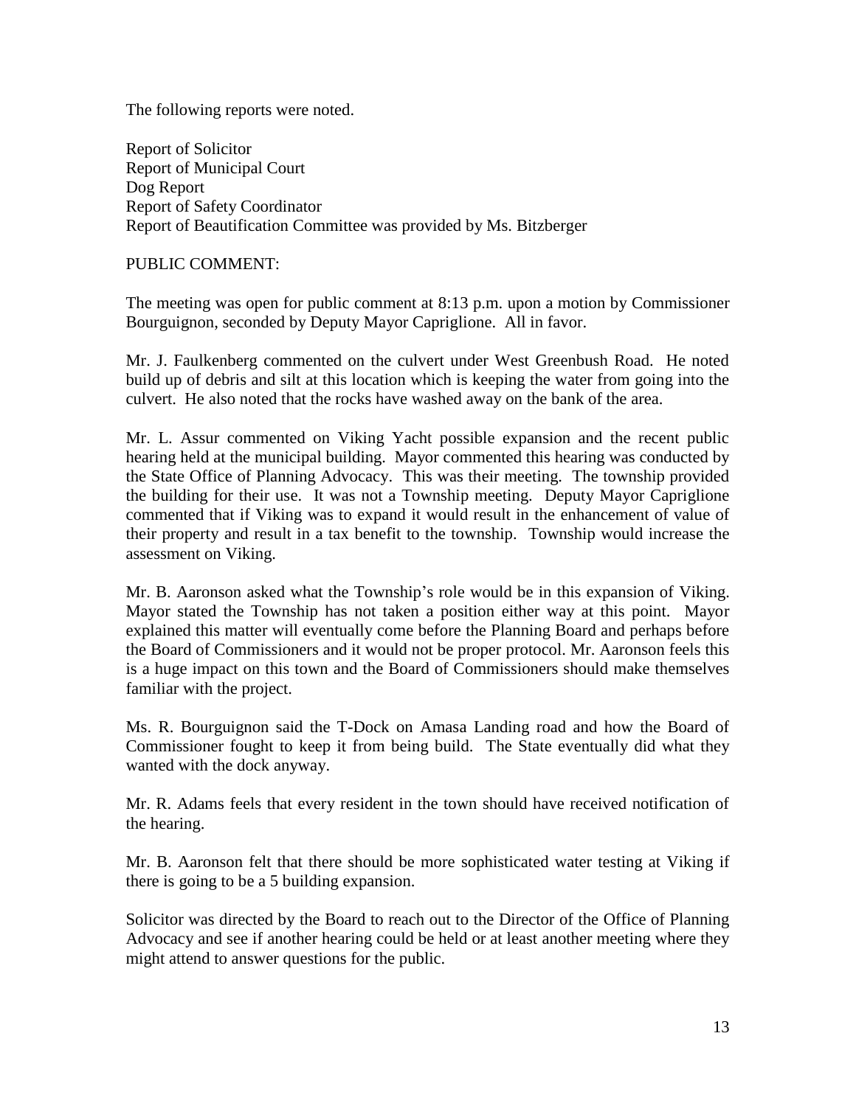The following reports were noted.

Report of Solicitor Report of Municipal Court Dog Report Report of Safety Coordinator Report of Beautification Committee was provided by Ms. Bitzberger

PUBLIC COMMENT:

The meeting was open for public comment at 8:13 p.m. upon a motion by Commissioner Bourguignon, seconded by Deputy Mayor Capriglione. All in favor.

Mr. J. Faulkenberg commented on the culvert under West Greenbush Road. He noted build up of debris and silt at this location which is keeping the water from going into the culvert. He also noted that the rocks have washed away on the bank of the area.

Mr. L. Assur commented on Viking Yacht possible expansion and the recent public hearing held at the municipal building. Mayor commented this hearing was conducted by the State Office of Planning Advocacy. This was their meeting. The township provided the building for their use. It was not a Township meeting. Deputy Mayor Capriglione commented that if Viking was to expand it would result in the enhancement of value of their property and result in a tax benefit to the township. Township would increase the assessment on Viking.

Mr. B. Aaronson asked what the Township's role would be in this expansion of Viking. Mayor stated the Township has not taken a position either way at this point. Mayor explained this matter will eventually come before the Planning Board and perhaps before the Board of Commissioners and it would not be proper protocol. Mr. Aaronson feels this is a huge impact on this town and the Board of Commissioners should make themselves familiar with the project.

Ms. R. Bourguignon said the T-Dock on Amasa Landing road and how the Board of Commissioner fought to keep it from being build. The State eventually did what they wanted with the dock anyway.

Mr. R. Adams feels that every resident in the town should have received notification of the hearing.

Mr. B. Aaronson felt that there should be more sophisticated water testing at Viking if there is going to be a 5 building expansion.

Solicitor was directed by the Board to reach out to the Director of the Office of Planning Advocacy and see if another hearing could be held or at least another meeting where they might attend to answer questions for the public.